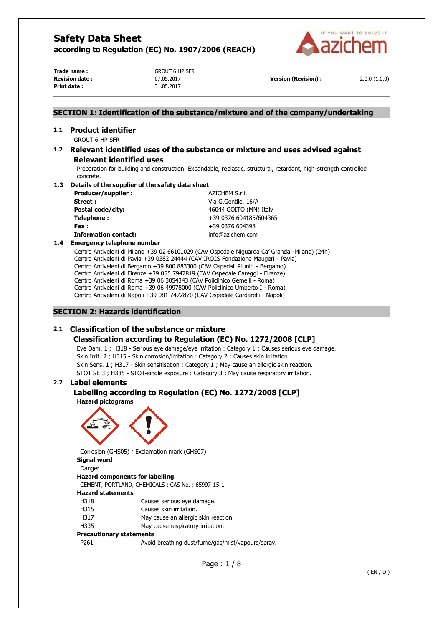

**Trade name :** GROUT 6 HP SFR **Print date :** 31.05.2017

**Revision date :** 07.05.2017 **Version (Revision) :** 2.0.0 (1.0.0)

# **SECTION 1: Identification of the substance/mixture and of the company/undertaking**

# **1.1 Product identifier**

GROUT 6 HP SFR

# **1.2 Relevant identified uses of the substance or mixture and uses advised against Relevant identified uses**

Preparation for building and construction: Expandable, replastic, structural, retardant, high-strength controlled concrete.

### **1.3 Details of the supplier of the safety data sheet**

| Producer/supplier:          | AZICHEM S.r.l.         |
|-----------------------------|------------------------|
| Street :                    | Via G.Gentile, 16/A    |
| Postal code/city:           | 46044 GOITO (MN) Italy |
| Telephone:                  | +39 0376 604185/604365 |
| Fax :                       | +39 0376 604398        |
| <b>Information contact:</b> | info@azichem.com       |

#### **1.4 Emergency telephone number**

Centro Antiveleni di Milano +39 02 66101029 (CAV Ospedale Niguarda Ca' Granda -Milano) (24h) Centro Antiveleni di Pavia +39 0382 24444 (CAV IRCCS Fondazione Maugeri - Pavia) Centro Antiveleni di Bergamo +39 800 883300 (CAV Ospedali Riuniti - Bergamo) Centro Antiveleni di Firenze +39 055 7947819 (CAV Ospedale Careggi - Firenze) Centro Antiveleni di Roma +39 06 3054343 (CAV Policlinico Gemelli - Roma) Centro Antiveleni di Roma +39 06 49978000 (CAV Policlinico Umberto I - Roma) Centro Antiveleni di Napoli +39 081 7472870 (CAV Ospedale Cardarelli - Napoli)

### **SECTION 2: Hazards identification**

# **2.1 Classification of the substance or mixture**

# **Classification according to Regulation (EC) No. 1272/2008 [CLP]**

Eye Dam. 1 ; H318 - Serious eye damage/eye irritation : Category 1 ; Causes serious eye damage. Skin Irrit. 2 ; H315 - Skin corrosion/irritation : Category 2 ; Causes skin irritation. Skin Sens. 1 ; H317 - Skin sensitisation : Category 1 ; May cause an allergic skin reaction. STOT SE 3 ; H335 - STOT-single exposure : Category 3 ; May cause respiratory irritation.

# **2.2 Label elements**

# **Labelling according to Regulation (EC) No. 1272/2008 [CLP]**

**Hazard pictograms** 



Corrosion (GHS05) · Exclamation mark (GHS07) **Signal word** 

Danger

#### **Hazard components for labelling**

CEMENT, PORTLAND, CHEMICALS ; CAS No. : 65997-15-1

### **Hazard statements**

- H318 Causes serious eye damage.
- H315 Causes skin irritation.
- H317 May cause an allergic skin reaction.
- H335 May cause respiratory irritation.

#### **Precautionary statements**

P261 Avoid breathing dust/fume/gas/mist/vapours/spray.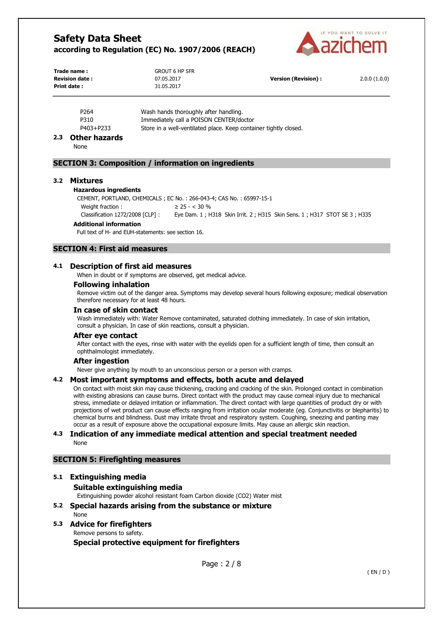

| Trade name :           | <b>GROUT 6 HP SFR</b> |                      |              |
|------------------------|-----------------------|----------------------|--------------|
| <b>Revision date :</b> | 07.05.2017            | Version (Revision) : | 2.0.0(1.0.0) |
| Print date:            | 31.05.2017            |                      |              |

| P <sub>264</sub> | Wash hands thoroughly after handling.                            |
|------------------|------------------------------------------------------------------|
| P310             | Immediately call a POISON CENTER/doctor                          |
| P403+P233        | Store in a well-ventilated place. Keep container tightly closed. |

### **2.3 Other hazards**

None

### **SECTION 3: Composition / information on ingredients**

#### **3.2 Mixtures**

#### **Hazardous ingredients**

CEMENT, PORTLAND, CHEMICALS ; EC No. : 266-043-4; CAS No. : 65997-15-1

Weight fraction :  $\geq 25 - < 30\%$ Classification 1272/2008 [CLP] : Eye Dam. 1 ; H318 Skin Irrit. 2 ; H315 Skin Sens. 1 ; H317 STOT SE 3 ; H335

### **Additional information**

Full text of H- and EUH-statements: see section 16.

# **SECTION 4: First aid measures**

# **4.1 Description of first aid measures**

When in doubt or if symptoms are observed, get medical advice.

#### **Following inhalation**

Remove victim out of the danger area. Symptoms may develop several hours following exposure; medical observation therefore necessary for at least 48 hours.

# **In case of skin contact**

Wash immediately with: Water Remove contaminated, saturated clothing immediately. In case of skin irritation, consult a physician. In case of skin reactions, consult a physician.

#### **After eye contact**

After contact with the eyes, rinse with water with the eyelids open for a sufficient length of time, then consult an ophthalmologist immediately.

#### **After ingestion**

Never give anything by mouth to an unconscious person or a person with cramps.

#### **4.2 Most important symptoms and effects, both acute and delayed**

On contact with moist skin may cause thickening, cracking and cracking of the skin. Prolonged contact in combination with existing abrasions can cause burns. Direct contact with the product may cause corneal injury due to mechanical stress, immediate or delayed irritation or inflammation. The direct contact with large quantities of product dry or with projections of wet product can cause effects ranging from irritation ocular moderate (eg. Conjunctivitis or blepharitis) to chemical burns and blindness. Dust may irritate throat and respiratory system. Coughing, sneezing and panting may occur as a result of exposure above the occupational exposure limits. May cause an allergic skin reaction.

### **4.3 Indication of any immediate medical attention and special treatment needed**  None

# **SECTION 5: Firefighting measures**

# **5.1 Extinguishing media**

**Suitable extinguishing media** 

Extinguishing powder alcohol resistant foam Carbon dioxide (CO2) Water mist

**5.2 Special hazards arising from the substance or mixture**  None

### **5.3 Advice for firefighters**  Remove persons to safety.

**Special protective equipment for firefighters**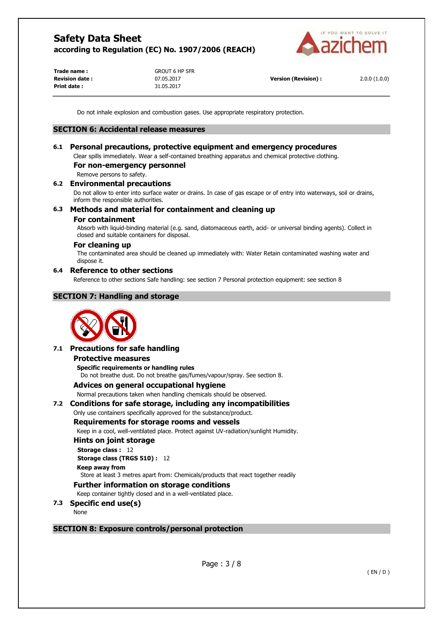

**Trade name :** GROUT 6 HP SFR **Print date :** 31.05.2017

**Revision date :** 07.05.2017 **Version (Revision) :** 2.0.0 (1.0.0)

Do not inhale explosion and combustion gases. Use appropriate respiratory protection.

### **SECTION 6: Accidental release measures**

# **6.1 Personal precautions, protective equipment and emergency procedures**

Clear spills immediately. Wear a self-contained breathing apparatus and chemical protective clothing.

# **For non-emergency personnel**

Remove persons to safety.

### **6.2 Environmental precautions**

Do not allow to enter into surface water or drains. In case of gas escape or of entry into waterways, soil or drains, inform the responsible authorities.

# **6.3 Methods and material for containment and cleaning up**

#### **For containment**

Absorb with liquid-binding material (e.g. sand, diatomaceous earth, acid- or universal binding agents). Collect in closed and suitable containers for disposal.

# **For cleaning up**

The contaminated area should be cleaned up immediately with: Water Retain contaminated washing water and dispose it.

#### **6.4 Reference to other sections**

Reference to other sections Safe handling: see section 7 Personal protection equipment: see section 8

# **SECTION 7: Handling and storage**



# **7.1 Precautions for safe handling**

#### **Protective measures**

**Specific requirements or handling rules**  Do not breathe dust. Do not breathe gas/fumes/vapour/spray. See section 8.

# **Advices on general occupational hygiene**

Normal precautions taken when handling chemicals should be observed.

# **7.2 Conditions for safe storage, including any incompatibilities**

#### Only use containers specifically approved for the substance/product.

#### **Requirements for storage rooms and vessels**

Keep in a cool, well-ventilated place. Protect against UV-radiation/sunlight Humidity.

#### **Hints on joint storage**

**Storage class :** 12 **Storage class (TRGS 510) :** 12

# **Keep away from**

Store at least 3 metres apart from: Chemicals/products that react together readily

#### **Further information on storage conditions**

Keep container tightly closed and in a well-ventilated place.

# **7.3 Specific end use(s)**

None

#### **SECTION 8: Exposure controls/personal protection**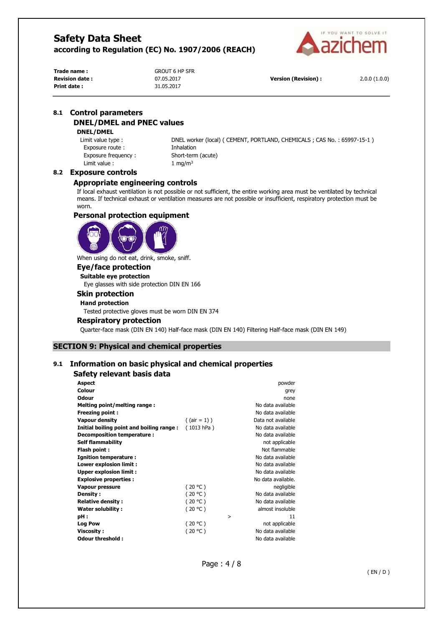

**Trade name :** GROUT 6 HP SFR **Print date :** 31.05.2017

**Revision date :** 07.05.2017 **Version (Revision) :** 2.0.0 (1.0.0)

# **8.1 Control parameters DNEL/DMEL and PNEC values**

# **DNEL/DMEL**

Exposure route : Thhalation Exposure frequency : Short-term (acute) Limit value :  $1 \text{ mg/m}^3$ 

Limit value type : DNEL worker (local) ( CEMENT, PORTLAND, CHEMICALS ; CAS No. : 65997-15-1 )

### **8.2 Exposure controls**

### **Appropriate engineering controls**

If local exhaust ventilation is not possible or not sufficient, the entire working area must be ventilated by technical means. If technical exhaust or ventilation measures are not possible or insufficient, respiratory protection must be worn.

# **Personal protection equipment**



When using do not eat, drink, smoke, sniff.

# **Eye/face protection**

**Suitable eye protection** 

Eye glasses with side protection DIN EN 166

# **Skin protection**

**Hand protection** 

Tested protective gloves must be worn DIN EN 374

#### **Respiratory protection**

Quarter-face mask (DIN EN 140) Half-face mask (DIN EN 140) Filtering Half-face mask (DIN EN 149)

# **SECTION 9: Physical and chemical properties**

# **9.1 Information on basic physical and chemical properties**

# **Safety relevant basis data**

| <b>Aspect</b>                            |                 |   | powder             |
|------------------------------------------|-----------------|---|--------------------|
| Colour                                   |                 |   | grey               |
| Odour                                    |                 |   | none               |
| Melting point/melting range:             |                 |   | No data available  |
| Freezing point:                          |                 |   | No data available  |
| Vapour density                           | $($ (air = 1) ) |   | Data not available |
| Initial boiling point and boiling range: | (1013 hPa)      |   | No data available  |
| Decomposition temperature:               |                 |   | No data available  |
| <b>Self flammability</b>                 |                 |   | not applicable     |
| Flash point:                             |                 |   | Not flammable      |
| <b>Ignition temperature:</b>             |                 |   | No data available  |
| Lower explosion limit :                  |                 |   | No data available  |
| <b>Upper explosion limit:</b>            |                 |   | No data available  |
| <b>Explosive properties:</b>             |                 |   | No data available. |
| Vapour pressure                          | (20 °C)         |   | negligible         |
| Density:                                 | (20 °C)         |   | No data available  |
| <b>Relative density:</b>                 | (20 °C)         |   | No data available  |
| Water solubility:                        | (20 °C)         |   | almost insoluble   |
| pH:                                      |                 | > | 11                 |
| <b>Log Pow</b>                           | (20 °C)         |   | not applicable     |
| <b>Viscosity:</b>                        | (20 °C)         |   | No data available  |
| Odour threshold:                         |                 |   | No data available  |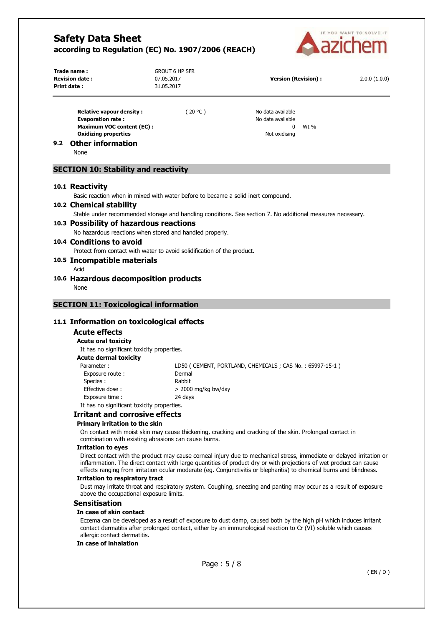

| Trade name:<br><b>Revision date:</b><br>Print date:                                      | <b>GROUT 6 HP SFR</b><br>07.05.2017<br>31.05.2017 | <b>Version (Revision):</b>             |      | 2.0.0(1.0.0) |
|------------------------------------------------------------------------------------------|---------------------------------------------------|----------------------------------------|------|--------------|
| <b>Relative vapour density:</b><br><b>Evaporation rate:</b><br>Maximum VOC content (EC): | 20 °C )                                           | No data available<br>No data available | Wt % |              |

**9.2 Other information** 

None

# **SECTION 10: Stability and reactivity**

#### **10.1 Reactivity**

Basic reaction when in mixed with water before to became a solid inert compound.

**Oxidizing properties Notified by a strategie of the strategie of the strategie of the strategie of the strategie of the strategie of the strategie of the strategie of the strategie of the strategie of the strategie of t** 

#### **10.2 Chemical stability**

Stable under recommended storage and handling conditions. See section 7. No additional measures necessary.

# **10.3 Possibility of hazardous reactions**

No hazardous reactions when stored and handled properly.

# **10.4 Conditions to avoid**

Protect from contact with water to avoid solidification of the product.

#### **10.5 Incompatible materials**

- Acid
- **10.6 Hazardous decomposition products**

None

# **SECTION 11: Toxicological information**

# **11.1 Information on toxicological effects**

# **Acute effects**

#### **Acute oral toxicity**

It has no significant toxicity properties.

#### **Acute dermal toxicity**

| Parameter:                                 | LD50 (CEMENT, PORTLAND, CHEMICALS; CAS No.: 65997-15-1) |
|--------------------------------------------|---------------------------------------------------------|
| Exposure route:                            | Dermal                                                  |
| Species :                                  | Rabbit                                                  |
| Effective dose:                            | $>$ 2000 mg/kg bw/day                                   |
| Exposure time:                             | 24 days                                                 |
| It has no significant toxicity properties. |                                                         |

# **Irritant and corrosive effects**

### **Primary irritation to the skin**

On contact with moist skin may cause thickening, cracking and cracking of the skin. Prolonged contact in combination with existing abrasions can cause burns.

#### **Irritation to eyes**

Direct contact with the product may cause corneal injury due to mechanical stress, immediate or delayed irritation or inflammation. The direct contact with large quantities of product dry or with projections of wet product can cause effects ranging from irritation ocular moderate (eg. Conjunctivitis or blepharitis) to chemical burns and blindness.

#### **Irritation to respiratory tract**

Dust may irritate throat and respiratory system. Coughing, sneezing and panting may occur as a result of exposure above the occupational exposure limits.

#### **Sensitisation**

#### **In case of skin contact**

Eczema can be developed as a result of exposure to dust damp, caused both by the high pH which induces irritant contact dermatitis after prolonged contact, either by an immunological reaction to Cr (VI) soluble which causes allergic contact dermatitis.

#### **In case of inhalation**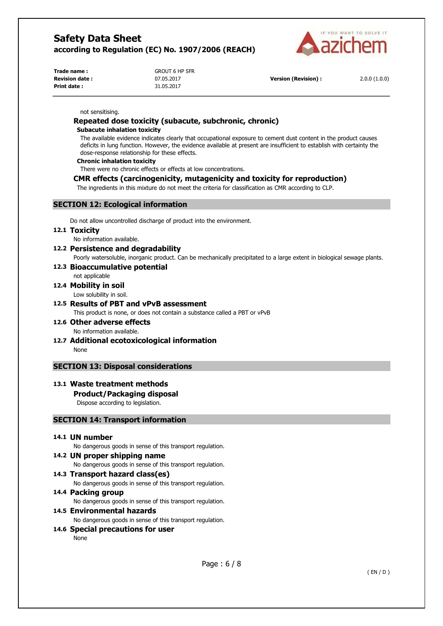

**Trade name :** GROUT 6 HP SFR **Print date :** 31.05.2017

**Revision date :** 07.05.2017 **Version (Revision) :** 2.0.0 (1.0.0)

#### not sensitising.

# **Repeated dose toxicity (subacute, subchronic, chronic)**

#### **Subacute inhalation toxicity**

The available evidence indicates clearly that occupational exposure to cement dust content in the product causes deficits in lung function. However, the evidence available at present are insufficient to establish with certainty the dose-response relationship for these effects.

#### **Chronic inhalation toxicity**

There were no chronic effects or effects at low concentrations.

# **CMR effects (carcinogenicity, mutagenicity and toxicity for reproduction)**

The ingredients in this mixture do not meet the criteria for classification as CMR according to CLP.

# **SECTION 12: Ecological information**

Do not allow uncontrolled discharge of product into the environment.

#### **12.1 Toxicity**

No information available.

### **12.2 Persistence and degradability**

Poorly watersoluble, inorganic product. Can be mechanically precipitated to a large extent in biological sewage plants.

# **12.3 Bioaccumulative potential**

# not applicable

#### **12.4 Mobility in soil**  Low solubility in soil.

**12.5 Results of PBT and vPvB assessment**  This product is none, or does not contain a substance called a PBT or vPvB

# **12.6 Other adverse effects**

- No information available.
- **12.7 Additional ecotoxicological information**  None

# **SECTION 13: Disposal considerations**

# **13.1 Waste treatment methods**

# **Product/Packaging disposal**

Dispose according to legislation.

# **SECTION 14: Transport information**

# **14.1 UN number**

No dangerous goods in sense of this transport regulation.

# **14.2 UN proper shipping name**

No dangerous goods in sense of this transport regulation.

# **14.3 Transport hazard class(es)**

No dangerous goods in sense of this transport regulation.

# **14.4 Packing group**

No dangerous goods in sense of this transport regulation.

### **14.5 Environmental hazards**

No dangerous goods in sense of this transport regulation.

# **14.6 Special precautions for user**

None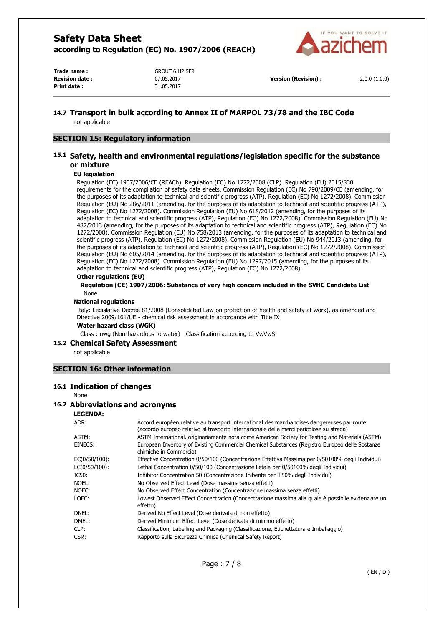

**Trade name :** GROUT 6 HP SFR **Print date :** 31.05.2017

**Revision date :** 07.05.2017 **Version (Revision) :** 2.0.0 (1.0.0)

# **14.7 Transport in bulk according to Annex II of MARPOL 73/78 and the IBC Code**

not applicable

# **SECTION 15: Regulatory information**

# **15.1 Safety, health and environmental regulations/legislation specific for the substance or mixture**

### **EU legislation**

Regulation (EC) 1907/2006/CE (REACh). Regulation (EC) No 1272/2008 (CLP). Regulation (EU) 2015/830 requirements for the compilation of safety data sheets. Commission Regulation (EC) No 790/2009/CE (amending, for the purposes of its adaptation to technical and scientific progress (ATP), Regulation (EC) No 1272/2008). Commission Regulation (EU) No 286/2011 (amending, for the purposes of its adaptation to technical and scientific progress (ATP), Regulation (EC) No 1272/2008). Commission Regulation (EU) No 618/2012 (amending, for the purposes of its adaptation to technical and scientific progress (ATP), Regulation (EC) No 1272/2008). Commission Regulation (EU) No 487/2013 (amending, for the purposes of its adaptation to technical and scientific progress (ATP), Regulation (EC) No 1272/2008). Commission Regulation (EU) No 758/2013 (amending, for the purposes of its adaptation to technical and scientific progress (ATP), Regulation (EC) No 1272/2008). Commission Regulation (EU) No 944/2013 (amending, for the purposes of its adaptation to technical and scientific progress (ATP), Regulation (EC) No 1272/2008). Commission Regulation (EU) No 605/2014 (amending, for the purposes of its adaptation to technical and scientific progress (ATP), Regulation (EC) No 1272/2008). Commission Regulation (EU) No 1297/2015 (amending, for the purposes of its adaptation to technical and scientific progress (ATP), Regulation (EC) No 1272/2008).

### **Other regulations (EU)**

**Regulation (CE) 1907/2006: Substance of very high concern included in the SVHC Candidate List**  None

### **National regulations**

Italy: Legislative Decree 81/2008 (Consolidated Law on protection of health and safety at work), as amended and Directive 2009/161/UE - chemical risk assessment in accordance with Title IX

#### **Water hazard class (WGK)**

Class : nwg (Non-hazardous to water) Classification according to VwVwS

# **15.2 Chemical Safety Assessment**

not applicable

# **SECTION 16: Other information**

### **16.1 Indication of changes**

None

# **16.2 Abbreviations and acronyms**

# **LEGENDA:**

| ADR:          | Accord européen relative au transport international des marchandises dangereuses par route<br>(accordo europeo relativo al trasporto internazionale delle merci pericolose su strada) |
|---------------|---------------------------------------------------------------------------------------------------------------------------------------------------------------------------------------|
| ASTM:         | ASTM International, originariamente nota come American Society for Testing and Materials (ASTM)                                                                                       |
| EINECS:       | European Inventory of Existing Commercial Chemical Substances (Registro Europeo delle Sostanze<br>chimiche in Commercio)                                                              |
| EC(0/50/100): | Effective Concentration 0/50/100 (Concentrazione Effettiva Massima per 0/50100% degli Individui)                                                                                      |
| LC(0/50/100): | Lethal Concentration 0/50/100 (Concentrazione Letale per 0/50100% degli Individui)                                                                                                    |
| IC50:         | Inhibitor Concentration 50 (Concentrazione Inibente per il 50% degli Individui)                                                                                                       |
| NOEL:         | No Observed Effect Level (Dose massima senza effetti)                                                                                                                                 |
| NOEC:         | No Observed Effect Concentration (Concentrazione massima senza effetti)                                                                                                               |
| LOEC:         | Lowest Observed Effect Concentration (Concentrazione massima alla quale è possibile evidenziare un<br>effetto)                                                                        |
| DNEL:         | Derived No Effect Level (Dose derivata di non effetto)                                                                                                                                |
| DMEL:         | Derived Minimum Effect Level (Dose derivata di minimo effetto)                                                                                                                        |
| CLP:          | Classification, Labelling and Packaging (Classificazione, Etichettatura e Imballaggio)                                                                                                |
| CSR:          | Rapporto sulla Sicurezza Chimica (Chemical Safety Report)                                                                                                                             |